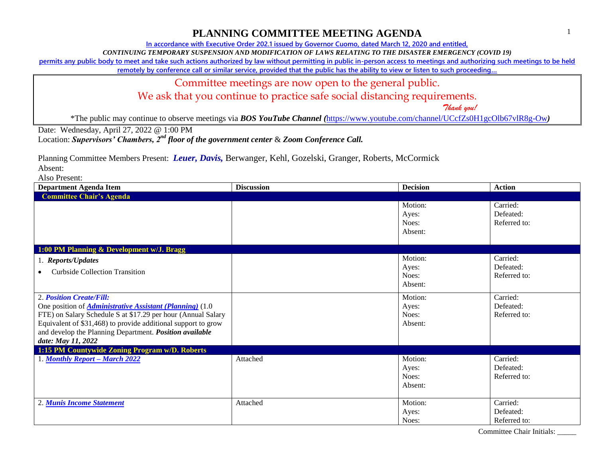## **PLANNING COMMITTEE MEETING AGENDA**

**In accordance with Executive Order 202.1 issued by Governor Cuomo, dated March 12, 2020 and entitled,**

*CONTINUING TEMPORARY SUSPENSION AND MODIFICATION OF LAWS RELATING TO THE DISASTER EMERGENCY (COVID 19)*

**permits any public body to meet and take such actions authorized by law without permitting in public in-person access to meetings and authorizing such meetings to be held** 

**remotely by conference call or similar service, provided that the public has the ability to view or listen to such proceeding…**

#### Committee meetings are now open to the general public.

We ask that you continue to practice safe social distancing requirements.

 *Thank you!*

\*The public may continue to observe meetings via *BOS YouTube Channel (*<https://www.youtube.com/channel/UCcfZs0H1gcOlb67vlR8g-Ow>*)*

Date: Wednesday, April 27, 2022 @ 1:00 PM

Location: *Supervisors' Chambers, 2nd floor of the government center* & *Zoom Conference Call.*

Planning Committee Members Present: *Leuer, Davis,* Berwanger, Kehl, Gozelski, Granger, Roberts, McCormick

Absent:

Also Present:

| <b>Department Agenda Item</b>                                                                                                                                                                                                                                                                                  | <b>Discussion</b> | <b>Decision</b>                      | <b>Action</b>                         |  |
|----------------------------------------------------------------------------------------------------------------------------------------------------------------------------------------------------------------------------------------------------------------------------------------------------------------|-------------------|--------------------------------------|---------------------------------------|--|
| <b>Committee Chair's Agenda</b>                                                                                                                                                                                                                                                                                |                   |                                      |                                       |  |
|                                                                                                                                                                                                                                                                                                                |                   | Motion:<br>Ayes:<br>Noes:<br>Absent: | Carried:<br>Defeated:<br>Referred to: |  |
| 1:00 PM Planning & Development w/J. Bragg                                                                                                                                                                                                                                                                      |                   |                                      |                                       |  |
| 1. Reports/Updates<br><b>Curbside Collection Transition</b><br>$\bullet$                                                                                                                                                                                                                                       |                   | Motion:<br>Ayes:<br>Noes:<br>Absent: | Carried:<br>Defeated:<br>Referred to: |  |
| 2. Position Create/Fill:<br>One position of <i>Administrative Assistant (Planning)</i> (1.0)<br>FTE) on Salary Schedule S at \$17.29 per hour (Annual Salary<br>Equivalent of \$31,468) to provide additional support to grow<br>and develop the Planning Department. Position available<br>date: May 11, 2022 |                   | Motion:<br>Ayes:<br>Noes:<br>Absent: | Carried:<br>Defeated:<br>Referred to: |  |
| 1:15 PM Countywide Zoning Program w/D. Roberts                                                                                                                                                                                                                                                                 |                   |                                      |                                       |  |
| 1. Monthly Report - March 2022                                                                                                                                                                                                                                                                                 | Attached          | Motion:<br>Ayes:<br>Noes:<br>Absent: | Carried:<br>Defeated:<br>Referred to: |  |
| 2. Munis Income Statement                                                                                                                                                                                                                                                                                      | Attached          | Motion:<br>Ayes:<br>Noes:            | Carried:<br>Defeated:<br>Referred to: |  |

Committee Chair Initials: \_\_\_\_\_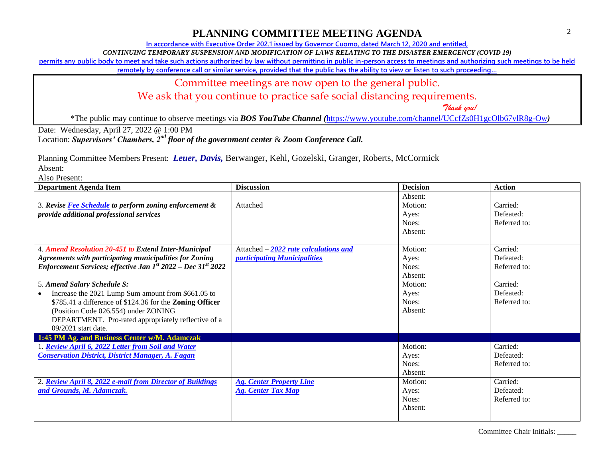### **PLANNING COMMITTEE MEETING AGENDA**

**In accordance with Executive Order 202.1 issued by Governor Cuomo, dated March 12, 2020 and entitled,**

*CONTINUING TEMPORARY SUSPENSION AND MODIFICATION OF LAWS RELATING TO THE DISASTER EMERGENCY (COVID 19)*

**permits any public body to meet and take such actions authorized by law without permitting in public in-person access to meetings and authorizing such meetings to be held** 

**remotely by conference call or similar service, provided that the public has the ability to view or listen to such proceeding…**

### Committee meetings are now open to the general public.

We ask that you continue to practice safe social distancing requirements.

 *Thank you!*

\*The public may continue to observe meetings via *BOS YouTube Channel (*<https://www.youtube.com/channel/UCcfZs0H1gcOlb67vlR8g-Ow>*)*

Date: Wednesday, April 27, 2022 @ 1:00 PM

Location: *Supervisors' Chambers, 2nd floor of the government center* & *Zoom Conference Call.*

Planning Committee Members Present: *Leuer, Davis,* Berwanger, Kehl, Gozelski, Granger, Roberts, McCormick

Absent:

Also Present:

| <b>Department Agenda Item</b>                                                 | <b>Discussion</b>                      | <b>Decision</b> | <b>Action</b> |
|-------------------------------------------------------------------------------|----------------------------------------|-----------------|---------------|
|                                                                               |                                        | Absent:         |               |
| 3. Revise Fee Schedule to perform zoning enforcement &                        | Attached                               | Motion:         | Carried:      |
| provide additional professional services                                      |                                        | Aves:           | Defeated:     |
|                                                                               |                                        | Noes:           | Referred to:  |
|                                                                               |                                        | Absent:         |               |
|                                                                               |                                        |                 |               |
| 4. Amend Resolution 20-451 to Extend Inter-Municipal                          | Attached $-2022$ rate calculations and | Motion:         | Carried:      |
| <b>Agreements with participating municipalities for Zoning</b>                | <i>participating Municipalities</i>    | Ayes:           | Defeated:     |
| Enforcement Services; effective Jan $1^{st}$ 2022 – Dec 31 <sup>st</sup> 2022 |                                        | Noes:           | Referred to:  |
|                                                                               |                                        | Absent:         |               |
| 5. Amend Salary Schedule S:                                                   |                                        | Motion:         | Carried:      |
| Increase the 2021 Lump Sum amount from \$661.05 to                            |                                        | Ayes:           | Defeated:     |
| \$785.41 a difference of \$124.36 for the <b>Zoning Officer</b>               |                                        | Noes:           | Referred to:  |
| (Position Code 026.554) under ZONING                                          |                                        | Absent:         |               |
| DEPARTMENT. Pro-rated appropriately reflective of a                           |                                        |                 |               |
| $09/2021$ start date.                                                         |                                        |                 |               |
| 1:45 PM Ag. and Business Center w/M. Adamczak                                 |                                        |                 |               |
| . Review April 6, 2022 Letter from Soil and Water                             |                                        | Motion:         | Carried:      |
| <b>Conservation District, District Manager, A. Fagan</b>                      |                                        | Ayes:           | Defeated:     |
|                                                                               |                                        | Noes:           | Referred to:  |
|                                                                               |                                        | Absent:         |               |
| 2. Review April 8, 2022 e-mail from Director of Buildings                     | <b>Ag. Center Property Line</b>        | Motion:         | Carried:      |
| and Grounds, M. Adamczak.                                                     | <b>Ag. Center Tax Map</b>              | Ayes:           | Defeated:     |
|                                                                               |                                        | Noes:           | Referred to:  |
|                                                                               |                                        | Absent:         |               |
|                                                                               |                                        |                 |               |

Committee Chair Initials: \_\_\_\_\_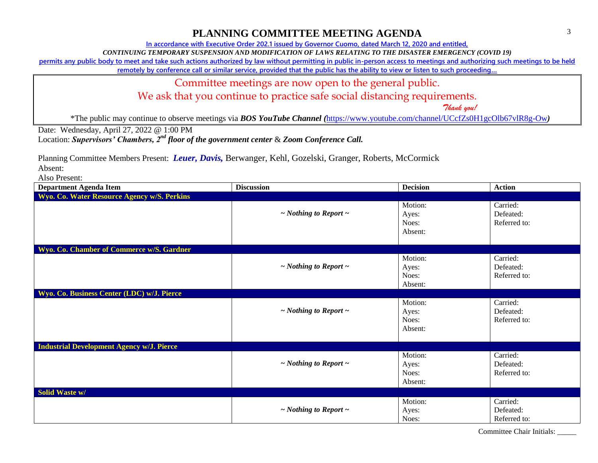# **PLANNING COMMITTEE MEETING AGENDA**

**In accordance with Executive Order 202.1 issued by Governor Cuomo, dated March 12, 2020 and entitled,**

*CONTINUING TEMPORARY SUSPENSION AND MODIFICATION OF LAWS RELATING TO THE DISASTER EMERGENCY (COVID 19)*

**permits any public body to meet and take such actions authorized by law without permitting in public in-person access to meetings and authorizing such meetings to be held** 

**remotely by conference call or similar service, provided that the public has the ability to view or listen to such proceeding…**

#### Committee meetings are now open to the general public.

We ask that you continue to practice safe social distancing requirements.

 *Thank you!*

\*The public may continue to observe meetings via *BOS YouTube Channel (*<https://www.youtube.com/channel/UCcfZs0H1gcOlb67vlR8g-Ow>*)*

Date: Wednesday, April 27, 2022 @ 1:00 PM

Location: *Supervisors' Chambers, 2nd floor of the government center* & *Zoom Conference Call.*

Planning Committee Members Present: *Leuer, Davis,* Berwanger, Kehl, Gozelski, Granger, Roberts, McCormick

Absent:

Also Present:

| <b>Department Agenda Item</b>                    | <b>Discussion</b>               | <b>Decision</b>                      | <b>Action</b>                         |
|--------------------------------------------------|---------------------------------|--------------------------------------|---------------------------------------|
| Wyo. Co. Water Resource Agency w/S. Perkins      |                                 |                                      |                                       |
|                                                  | $\sim$ Nothing to Report $\sim$ | Motion:<br>Ayes:<br>Noes:<br>Absent: | Carried:<br>Defeated:<br>Referred to: |
| Wyo. Co. Chamber of Commerce w/S. Gardner        |                                 |                                      |                                       |
|                                                  | $\sim$ Nothing to Report $\sim$ | Motion:<br>Ayes:<br>Noes:<br>Absent: | Carried:<br>Defeated:<br>Referred to: |
| Wyo. Co. Business Center (LDC) w/J. Pierce       |                                 |                                      |                                       |
|                                                  | $\sim$ Nothing to Report $\sim$ | Motion:<br>Ayes:<br>Noes:<br>Absent: | Carried:<br>Defeated:<br>Referred to: |
| <b>Industrial Development Agency w/J. Pierce</b> |                                 |                                      |                                       |
|                                                  | $\sim$ Nothing to Report $\sim$ | Motion:<br>Ayes:<br>Noes:<br>Absent: | Carried:<br>Defeated:<br>Referred to: |
| Solid Waste w/                                   |                                 |                                      |                                       |
|                                                  | $\sim$ Nothing to Report $\sim$ | Motion:<br>Ayes:<br>Noes:            | Carried:<br>Defeated:<br>Referred to: |

Committee Chair Initials: \_\_\_\_\_